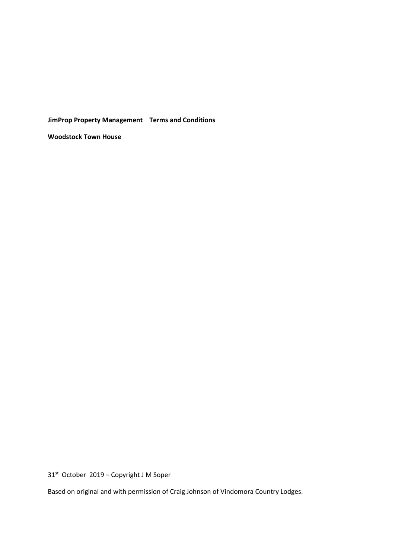**JimProp Property Management Terms and Conditions** 

**Woodstock Town House**

31st October 2019 – Copyright J M Soper

Based on original and with permission of Craig Johnson of Vindomora Country Lodges.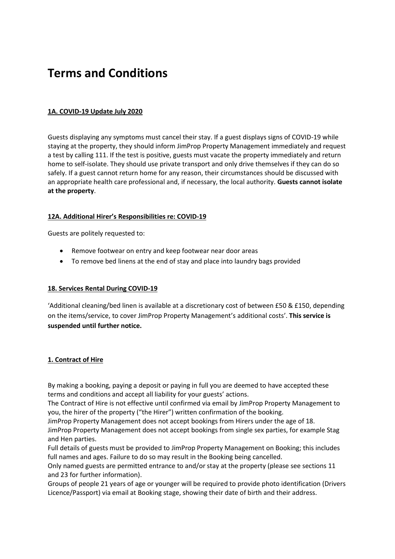# **Terms and Conditions**

# **1A. COVID-19 Update July 2020**

Guests displaying any symptoms must cancel their stay. If a guest displays signs of COVID-19 while staying at the property, they should inform JimProp Property Management immediately and request a test by calling 111. If the test is positive, guests must vacate the property immediately and return home to self-isolate. They should use private transport and only drive themselves if they can do so safely. If a guest cannot return home for any reason, their circumstances should be discussed with an appropriate health care professional and, if necessary, the local authority. **Guests cannot isolate at the property**.

# **12A. Additional Hirer's Responsibilities re: COVID-19**

Guests are politely requested to:

- Remove footwear on entry and keep footwear near door areas
- To remove bed linens at the end of stay and place into laundry bags provided

# **18. Services Rental During COVID-19**

'Additional cleaning/bed linen is available at a discretionary cost of between £50 & £150, depending on the items/service, to cover JimProp Property Management's additional costs'. **This service is suspended until further notice.**

# **1. Contract of Hire**

By making a booking, paying a deposit or paying in full you are deemed to have accepted these terms and conditions and accept all liability for your guests' actions.

The Contract of Hire is not effective until confirmed via email by JimProp Property Management to you, the hirer of the property ("the Hirer") written confirmation of the booking.

JimProp Property Management does not accept bookings from Hirers under the age of 18.

JimProp Property Management does not accept bookings from single sex parties, for example Stag and Hen parties.

Full details of guests must be provided to JimProp Property Management on Booking; this includes full names and ages. Failure to do so may result in the Booking being cancelled.

Only named guests are permitted entrance to and/or stay at the property (please see sections 11 and 23 for further information).

Groups of people 21 years of age or younger will be required to provide photo identification (Drivers Licence/Passport) via email at Booking stage, showing their date of birth and their address.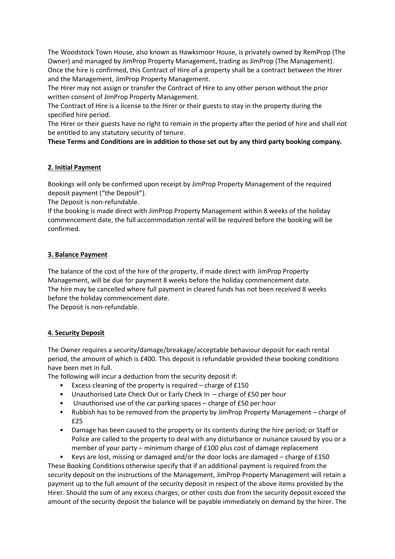The Woodstock Town House, also known as Hawksmoor House, is privately owned by RemProp (The Owner) and managed by JimProp Property Management, trading as JimProp (The Management). Once the hire is confirmed, this Contract of Hire of a property shall be a contract between the Hirer and the Management, JimProp Property Management.

The Hirer may not assign or transfer the Contract of Hire to any other person without the prior written consent of JimProp Property Management.

The Contract of Hire is a license to the Hirer or their guests to stay in the property during the specified hire period.

The Hirer or their guests have no right to remain in the property after the period of hire and shall not be entitled to any statutory security of tenure.

**These Terms and Conditions are in addition to those set out by any third party booking company.**

# **2. Initial Payment**

Bookings will only be confirmed upon receipt by JimProp Property Management of the required deposit payment ("the Deposit").

The Deposit is non-refundable.

If the booking is made direct with JimProp Property Management within 8 weeks of the holiday commencement date, the full accommodation rental will be required before the booking will be confirmed.

## **3. Balance Payment**

The balance of the cost of the hire of the property, if made direct with JimProp Property Management, will be due for payment 8 weeks before the holiday commencement date. The hire may be cancelled where full payment in cleared funds has not been received 8 weeks before the holiday commencement date.

The Deposit is non-refundable.

# **4. Security Deposit**

The Owner requires a security/damage/breakage/acceptable behaviour deposit for each rental period, the amount of which is £400. This deposit is refundable provided these booking conditions have been met in full.

The following will incur a deduction from the security deposit if:

- Excess cleaning of the property is required charge of £150
- Unauthorised Late Check Out or Early Check In charge of £50 per hour
- Unauthorised use of the car parking spaces charge of £50 per hour
- Rubbish has to be removed from the property by JimProp Property Management charge of £25
- Damage has been caused to the property or its contents during the hire period; or Staff or Police are called to the property to deal with any disturbance or nuisance caused by you or a member of your party – minimum charge of £100 plus cost of damage replacement

• Keys are lost, missing or damaged and/or the door locks are damaged – charge of £150 These Booking Conditions otherwise specify that if an additional payment is required from the security deposit on the instructions of the Management, JimProp Property Management will retain a payment up to the full amount of the security deposit in respect of the above items provided by the Hirer. Should the sum of any excess charges, or other costs due from the security deposit exceed the amount of the security deposit the balance will be payable immediately on demand by the hirer. The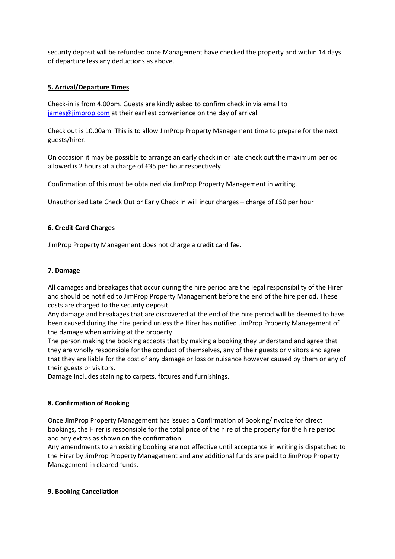security deposit will be refunded once Management have checked the property and within 14 days of departure less any deductions as above.

## **5. Arrival/Departure Times**

Check-in is from 4.00pm. Guests are kindly asked to confirm check in via email to [james@jimprop.com](mailto:james@jimprop.com) at their earliest convenience on the day of arrival.

Check out is 10.00am. This is to allow JimProp Property Management time to prepare for the next guests/hirer.

On occasion it may be possible to arrange an early check in or late check out the maximum period allowed is 2 hours at a charge of £35 per hour respectively.

Confirmation of this must be obtained via JimProp Property Management in writing.

Unauthorised Late Check Out or Early Check In will incur charges – charge of £50 per hour

#### **6. Credit Card Charges**

JimProp Property Management does not charge a credit card fee.

## **7. Damage**

All damages and breakages that occur during the hire period are the legal responsibility of the Hirer and should be notified to JimProp Property Management before the end of the hire period. These costs are charged to the security deposit.

Any damage and breakages that are discovered at the end of the hire period will be deemed to have been caused during the hire period unless the Hirer has notified JimProp Property Management of the damage when arriving at the property.

The person making the booking accepts that by making a booking they understand and agree that they are wholly responsible for the conduct of themselves, any of their guests or visitors and agree that they are liable for the cost of any damage or loss or nuisance however caused by them or any of their guests or visitors.

Damage includes staining to carpets, fixtures and furnishings.

#### **8. Confirmation of Booking**

Once JimProp Property Management has issued a Confirmation of Booking/Invoice for direct bookings, the Hirer is responsible for the total price of the hire of the property for the hire period and any extras as shown on the confirmation.

Any amendments to an existing booking are not effective until acceptance in writing is dispatched to the Hirer by JimProp Property Management and any additional funds are paid to JimProp Property Management in cleared funds.

#### **9. Booking Cancellation**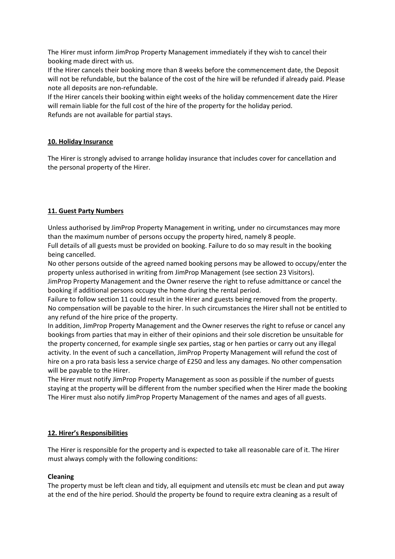The Hirer must inform JimProp Property Management immediately if they wish to cancel their booking made direct with us.

If the Hirer cancels their booking more than 8 weeks before the commencement date, the Deposit will not be refundable, but the balance of the cost of the hire will be refunded if already paid. Please note all deposits are non-refundable.

If the Hirer cancels their booking within eight weeks of the holiday commencement date the Hirer will remain liable for the full cost of the hire of the property for the holiday period. Refunds are not available for partial stays.

## **10. Holiday Insurance**

The Hirer is strongly advised to arrange holiday insurance that includes cover for cancellation and the personal property of the Hirer.

## **11. Guest Party Numbers**

Unless authorised by JimProp Property Management in writing, under no circumstances may more than the maximum number of persons occupy the property hired, namely 8 people.

Full details of all guests must be provided on booking. Failure to do so may result in the booking being cancelled.

No other persons outside of the agreed named booking persons may be allowed to occupy/enter the property unless authorised in writing from JimProp Management (see section 23 Visitors).

JimProp Property Management and the Owner reserve the right to refuse admittance or cancel the booking if additional persons occupy the home during the rental period.

Failure to follow section 11 could result in the Hirer and guests being removed from the property. No compensation will be payable to the hirer. In such circumstances the Hirer shall not be entitled to any refund of the hire price of the property.

In addition, JimProp Property Management and the Owner reserves the right to refuse or cancel any bookings from parties that may in either of their opinions and their sole discretion be unsuitable for the property concerned, for example single sex parties, stag or hen parties or carry out any illegal activity. In the event of such a cancellation, JimProp Property Management will refund the cost of hire on a pro rata basis less a service charge of £250 and less any damages. No other compensation will be payable to the Hirer.

The Hirer must notify JimProp Property Management as soon as possible if the number of guests staying at the property will be different from the number specified when the Hirer made the booking The Hirer must also notify JimProp Property Management of the names and ages of all guests.

#### **12. Hirer's Responsibilities**

The Hirer is responsible for the property and is expected to take all reasonable care of it. The Hirer must always comply with the following conditions:

# **Cleaning**

The property must be left clean and tidy, all equipment and utensils etc must be clean and put away at the end of the hire period. Should the property be found to require extra cleaning as a result of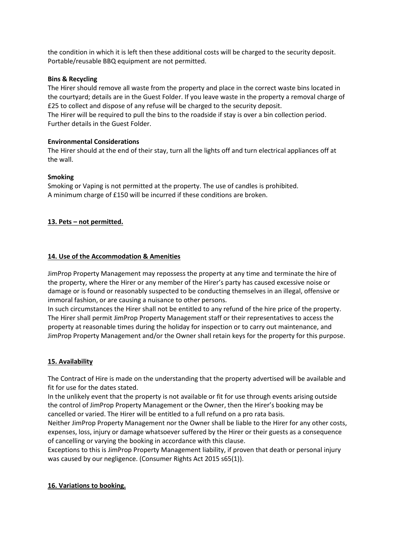the condition in which it is left then these additional costs will be charged to the security deposit. Portable/reusable BBQ equipment are not permitted.

#### **Bins & Recycling**

The Hirer should remove all waste from the property and place in the correct waste bins located in the courtyard; details are in the Guest Folder. If you leave waste in the property a removal charge of £25 to collect and dispose of any refuse will be charged to the security deposit.

The Hirer will be required to pull the bins to the roadside if stay is over a bin collection period. Further details in the Guest Folder.

## **Environmental Considerations**

The Hirer should at the end of their stay, turn all the lights off and turn electrical appliances off at the wall.

## **Smoking**

Smoking or Vaping is not permitted at the property. The use of candles is prohibited. A minimum charge of £150 will be incurred if these conditions are broken.

# **13. Pets – not permitted.**

## **14. Use of the Accommodation & Amenities**

JimProp Property Management may repossess the property at any time and terminate the hire of the property, where the Hirer or any member of the Hirer's party has caused excessive noise or damage or is found or reasonably suspected to be conducting themselves in an illegal, offensive or immoral fashion, or are causing a nuisance to other persons.

In such circumstances the Hirer shall not be entitled to any refund of the hire price of the property. The Hirer shall permit JimProp Property Management staff or their representatives to access the property at reasonable times during the holiday for inspection or to carry out maintenance, and JimProp Property Management and/or the Owner shall retain keys for the property for this purpose.

#### **15. Availability**

The Contract of Hire is made on the understanding that the property advertised will be available and fit for use for the dates stated.

In the unlikely event that the property is not available or fit for use through events arising outside the control of JimProp Property Management or the Owner, then the Hirer's booking may be cancelled or varied. The Hirer will be entitled to a full refund on a pro rata basis.

Neither JimProp Property Management nor the Owner shall be liable to the Hirer for any other costs, expenses, loss, injury or damage whatsoever suffered by the Hirer or their guests as a consequence of cancelling or varying the booking in accordance with this clause.

Exceptions to this is JimProp Property Management liability, if proven that death or personal injury was caused by our negligence. (Consumer Rights Act 2015 s65(1)).

# **16. Variations to booking.**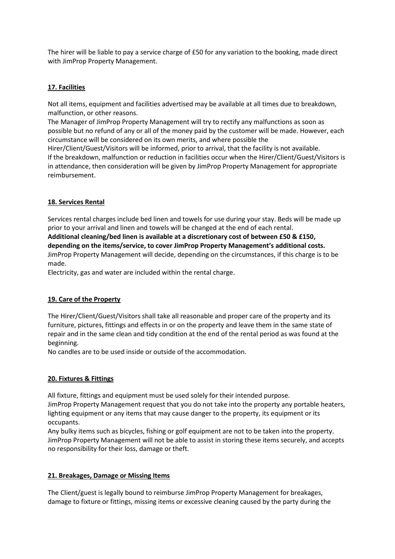The hirer will be liable to pay a service charge of £50 for any variation to the booking, made direct with JimProp Property Management.

## **17. Facilities**

Not all items, equipment and facilities advertised may be available at all times due to breakdown, malfunction, or other reasons.

The Manager of JimProp Property Management will try to rectify any malfunctions as soon as possible but no refund of any or all of the money paid by the customer will be made. However, each circumstance will be considered on its own merits, and where possible the

Hirer/Client/Guest/Visitors will be informed, prior to arrival, that the facility is not available. If the breakdown, malfunction or reduction in facilities occur when the Hirer/Client/Guest/Visitors is in attendance, then consideration will be given by JimProp Property Management for appropriate reimbursement.

## **18. Services Rental**

Services rental charges include bed linen and towels for use during your stay. Beds will be made up prior to your arrival and linen and towels will be changed at the end of each rental. **Additional cleaning/bed linen is available at a discretionary cost of between £50 & £150, depending on the items/service, to cover JimProp Property Management's additional costs.**  JimProp Property Management will decide, depending on the circumstances, if this charge is to be made.

Electricity, gas and water are included within the rental charge.

# **19. Care of the Property**

The Hirer/Client/Guest/Visitors shall take all reasonable and proper care of the property and its furniture, pictures, fittings and effects in or on the property and leave them in the same state of repair and in the same clean and tidy condition at the end of the rental period as was found at the beginning.

No candles are to be used inside or outside of the accommodation.

#### **20. Fixtures & Fittings**

All fixture, fittings and equipment must be used solely for their intended purpose. JimProp Property Management request that you do not take into the property any portable heaters, lighting equipment or any items that may cause danger to the property, its equipment or its occupants.

Any bulky items such as bicycles, fishing or golf equipment are not to be taken into the property. JimProp Property Management will not be able to assist in storing these items securely, and accepts no responsibility for their loss, damage or theft.

# **21. Breakages, Damage or Missing Items**

The Client/guest is legally bound to reimburse JimProp Property Management for breakages, damage to fixture or fittings, missing items or excessive cleaning caused by the party during the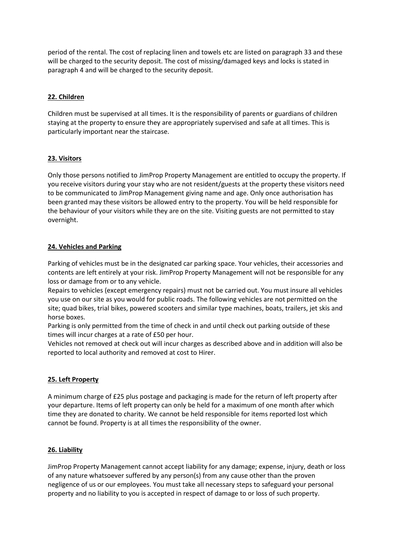period of the rental. The cost of replacing linen and towels etc are listed on paragraph 33 and these will be charged to the security deposit. The cost of missing/damaged keys and locks is stated in paragraph 4 and will be charged to the security deposit.

# **22. Children**

Children must be supervised at all times. It is the responsibility of parents or guardians of children staying at the property to ensure they are appropriately supervised and safe at all times. This is particularly important near the staircase.

# **23. Visitors**

Only those persons notified to JimProp Property Management are entitled to occupy the property. If you receive visitors during your stay who are not resident/guests at the property these visitors need to be communicated to JimProp Management giving name and age. Only once authorisation has been granted may these visitors be allowed entry to the property. You will be held responsible for the behaviour of your visitors while they are on the site. Visiting guests are not permitted to stay overnight.

# **24. Vehicles and Parking**

Parking of vehicles must be in the designated car parking space. Your vehicles, their accessories and contents are left entirely at your risk. JimProp Property Management will not be responsible for any loss or damage from or to any vehicle.

Repairs to vehicles (except emergency repairs) must not be carried out. You must insure all vehicles you use on our site as you would for public roads. The following vehicles are not permitted on the site; quad bikes, trial bikes, powered scooters and similar type machines, boats, trailers, jet skis and horse boxes.

Parking is only permitted from the time of check in and until check out parking outside of these times will incur charges at a rate of £50 per hour.

Vehicles not removed at check out will incur charges as described above and in addition will also be reported to local authority and removed at cost to Hirer.

# **25. Left Property**

A minimum charge of £25 plus postage and packaging is made for the return of left property after your departure. Items of left property can only be held for a maximum of one month after which time they are donated to charity. We cannot be held responsible for items reported lost which cannot be found. Property is at all times the responsibility of the owner.

# **26. Liability**

JimProp Property Management cannot accept liability for any damage; expense, injury, death or loss of any nature whatsoever suffered by any person(s) from any cause other than the proven negligence of us or our employees. You must take all necessary steps to safeguard your personal property and no liability to you is accepted in respect of damage to or loss of such property.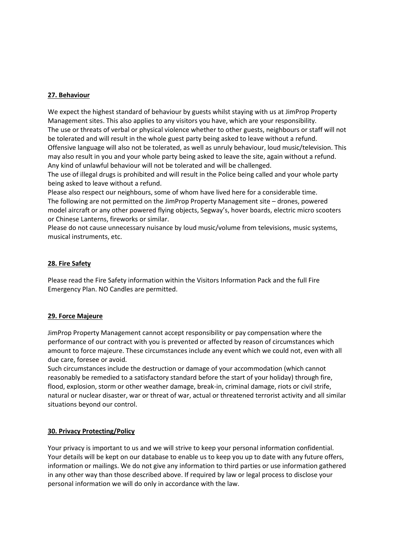## **27. Behaviour**

We expect the highest standard of behaviour by guests whilst staying with us at JimProp Property Management sites. This also applies to any visitors you have, which are your responsibility. The use or threats of verbal or physical violence whether to other guests, neighbours or staff will not be tolerated and will result in the whole guest party being asked to leave without a refund. Offensive language will also not be tolerated, as well as unruly behaviour, loud music/television. This may also result in you and your whole party being asked to leave the site, again without a refund. Any kind of unlawful behaviour will not be tolerated and will be challenged.

The use of illegal drugs is prohibited and will result in the Police being called and your whole party being asked to leave without a refund.

Please also respect our neighbours, some of whom have lived here for a considerable time. The following are not permitted on the JimProp Property Management site – drones, powered model aircraft or any other powered flying objects, Segway's, hover boards, electric micro scooters or Chinese Lanterns, fireworks or similar.

Please do not cause unnecessary nuisance by loud music/volume from televisions, music systems, musical instruments, etc.

#### **28. Fire Safety**

Please read the Fire Safety information within the Visitors Information Pack and the full Fire Emergency Plan. NO Candles are permitted.

#### **29. Force Majeure**

JimProp Property Management cannot accept responsibility or pay compensation where the performance of our contract with you is prevented or affected by reason of circumstances which amount to force majeure. These circumstances include any event which we could not, even with all due care, foresee or avoid.

Such circumstances include the destruction or damage of your accommodation (which cannot reasonably be remedied to a satisfactory standard before the start of your holiday) through fire, flood, explosion, storm or other weather damage, break-in, criminal damage, riots or civil strife, natural or nuclear disaster, war or threat of war, actual or threatened terrorist activity and all similar situations beyond our control.

#### **30. Privacy Protecting/Policy**

Your privacy is important to us and we will strive to keep your personal information confidential. Your details will be kept on our database to enable us to keep you up to date with any future offers, information or mailings. We do not give any information to third parties or use information gathered in any other way than those described above. If required by law or legal process to disclose your personal information we will do only in accordance with the law.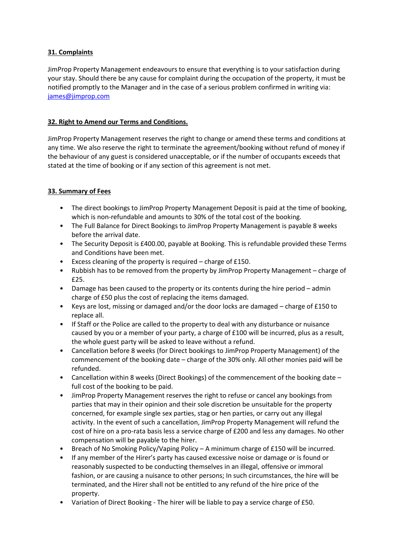# **31. Complaints**

JimProp Property Management endeavours to ensure that everything is to your satisfaction during your stay. Should there be any cause for complaint during the occupation of the property, it must be notified promptly to the Manager and in the case of a serious problem confirmed in writing via: [james@jimprop.com](mailto:james@jimprop.com)

# **32. Right to Amend our Terms and Conditions.**

JimProp Property Management reserves the right to change or amend these terms and conditions at any time. We also reserve the right to terminate the agreement/booking without refund of money if the behaviour of any guest is considered unacceptable, or if the number of occupants exceeds that stated at the time of booking or if any section of this agreement is not met.

# **33. Summary of Fees**

- The direct bookings to JimProp Property Management Deposit is paid at the time of booking, which is non-refundable and amounts to 30% of the total cost of the booking.
- The Full Balance for Direct Bookings to JimProp Property Management is payable 8 weeks before the arrival date.
- The Security Deposit is £400.00, payable at Booking. This is refundable provided these Terms and Conditions have been met.
- Excess cleaning of the property is required charge of £150.
- Rubbish has to be removed from the property by JimProp Property Management charge of £25.
- Damage has been caused to the property or its contents during the hire period admin charge of £50 plus the cost of replacing the items damaged.
- Keys are lost, missing or damaged and/or the door locks are damaged charge of £150 to replace all.
- If Staff or the Police are called to the property to deal with any disturbance or nuisance caused by you or a member of your party, a charge of £100 will be incurred, plus as a result, the whole guest party will be asked to leave without a refund.
- Cancellation before 8 weeks (for Direct bookings to JimProp Property Management) of the commencement of the booking date – charge of the 30% only. All other monies paid will be refunded.
- Cancellation within 8 weeks (Direct Bookings) of the commencement of the booking date full cost of the booking to be paid.
- JimProp Property Management reserves the right to refuse or cancel any bookings from parties that may in their opinion and their sole discretion be unsuitable for the property concerned, for example single sex parties, stag or hen parties, or carry out any illegal activity. In the event of such a cancellation, JimProp Property Management will refund the cost of hire on a pro-rata basis less a service charge of £200 and less any damages. No other compensation will be payable to the hirer.
- Breach of No Smoking Policy/Vaping Policy A minimum charge of £150 will be incurred.
- If any member of the Hirer's party has caused excessive noise or damage or is found or reasonably suspected to be conducting themselves in an illegal, offensive or immoral fashion, or are causing a nuisance to other persons; In such circumstances, the hire will be terminated, and the Hirer shall not be entitled to any refund of the hire price of the property.
- Variation of Direct Booking The hirer will be liable to pay a service charge of £50.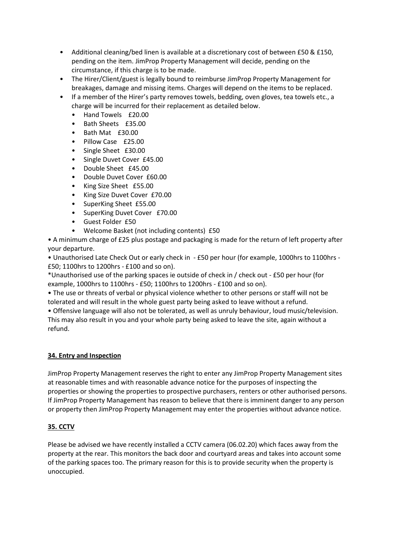- Additional cleaning/bed linen is available at a discretionary cost of between £50 & £150, pending on the item. JimProp Property Management will decide, pending on the circumstance, if this charge is to be made.
- The Hirer/Client/guest is legally bound to reimburse JimProp Property Management for breakages, damage and missing items. Charges will depend on the items to be replaced.
- If a member of the Hirer's party removes towels, bedding, oven gloves, tea towels etc., a charge will be incurred for their replacement as detailed below.
	- Hand Towels £20.00
	- Bath Sheets £35.00
	- Bath Mat £30.00
	- Pillow Case £25.00
	- Single Sheet £30.00
	- Single Duvet Cover £45.00
	- Double Sheet £45.00
	- Double Duvet Cover £60.00
	- King Size Sheet £55.00
	- King Size Duvet Cover £70.00
	- SuperKing Sheet £55.00
	- SuperKing Duvet Cover £70.00
	- Guest Folder £50
	- Welcome Basket (not including contents) £50

• A minimum charge of £25 plus postage and packaging is made for the return of left property after your departure.

• Unauthorised Late Check Out or early check in - £50 per hour (for example, 1000hrs to 1100hrs - £50; 1100hrs to 1200hrs - £100 and so on).

\*Unauthorised use of the parking spaces ie outside of check in / check out - £50 per hour (for example, 1000hrs to 1100hrs - £50; 1100hrs to 1200hrs - £100 and so on).

• The use or threats of verbal or physical violence whether to other persons or staff will not be tolerated and will result in the whole guest party being asked to leave without a refund.

• Offensive language will also not be tolerated, as well as unruly behaviour, loud music/television. This may also result in you and your whole party being asked to leave the site, again without a refund.

# **34. Entry and Inspection**

JimProp Property Management reserves the right to enter any JimProp Property Management sites at reasonable times and with reasonable advance notice for the purposes of inspecting the properties or showing the properties to prospective purchasers, renters or other authorised persons. If JimProp Property Management has reason to believe that there is imminent danger to any person or property then JimProp Property Management may enter the properties without advance notice.

# **35. CCTV**

Please be advised we have recently installed a CCTV camera (06.02.20) which faces away from the property at the rear. This monitors the back door and courtyard areas and takes into account some of the parking spaces too. The primary reason for this is to provide security when the property is unoccupied.